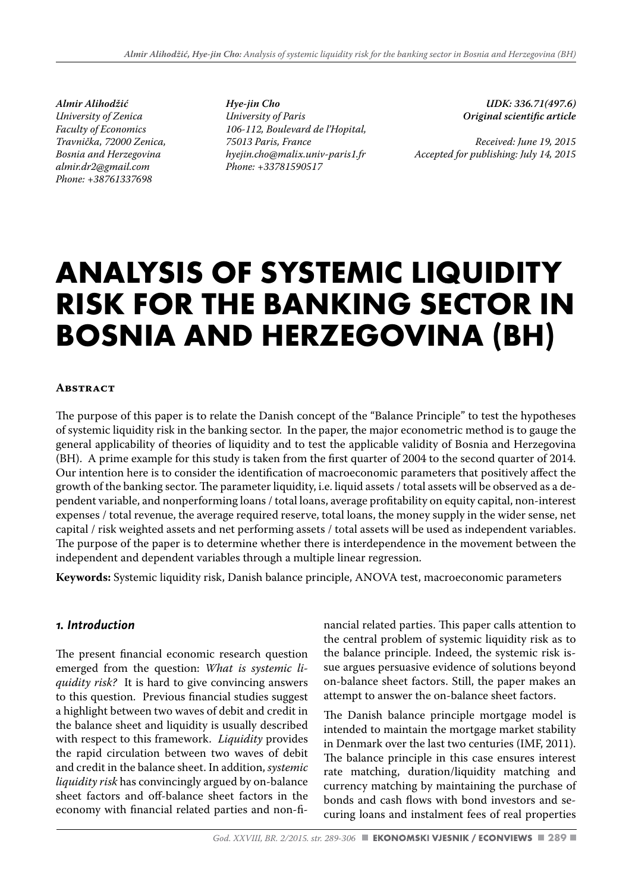*Almir Alihodžić University of Zenica Faculty of Economics Travnička, 72000 Zenica, Bosnia and Herzegovina almir.dr2@gmail.com Phone: +38761337698*

*Hye-jin Cho University of Paris 106-112, Boulevard de l'Hopital, 75013 Paris, France hyejin.cho@malix.univ-paris1.fr Phone: +33781590517*

*UDK: 336.71(497.6) Original scientific article*

*Received: June 19, 2015 Accepted for publishing: July 14, 2015*

# **ANALYSIS OF SYSTEMIC LIQUIDITY RISK FOR THE BANKING SECTOR IN BOSNIA AND HERZEGOVINA (BH)**

#### **Abstract**

The purpose of this paper is to relate the Danish concept of the "Balance Principle" to test the hypotheses of systemic liquidity risk in the banking sector. In the paper, the major econometric method is to gauge the general applicability of theories of liquidity and to test the applicable validity of Bosnia and Herzegovina (BH). A prime example for this study is taken from the first quarter of 2004 to the second quarter of 2014. Our intention here is to consider the identification of macroeconomic parameters that positively affect the growth of the banking sector. The parameter liquidity, i.e. liquid assets / total assets will be observed as a dependent variable, and nonperforming loans / total loans, average profitability on equity capital, non-interest expenses / total revenue, the average required reserve, total loans, the money supply in the wider sense, net capital / risk weighted assets and net performing assets / total assets will be used as independent variables. The purpose of the paper is to determine whether there is interdependence in the movement between the independent and dependent variables through a multiple linear regression.

**Keywords:** Systemic liquidity risk, Danish balance principle, ANOVA test, macroeconomic parameters

# *1. Introduction*

The present financial economic research question emerged from the question: *What is systemic liquidity risk?* It is hard to give convincing answers to this question. Previous financial studies suggest a highlight between two waves of debit and credit in the balance sheet and liquidity is usually described with respect to this framework. *Liquidity* provides the rapid circulation between two waves of debit and credit in the balance sheet. In addition, *systemic liquidity risk* has convincingly argued by on-balance sheet factors and off-balance sheet factors in the economy with financial related parties and non-financial related parties. This paper calls attention to the central problem of systemic liquidity risk as to the balance principle. Indeed, the systemic risk issue argues persuasive evidence of solutions beyond on-balance sheet factors. Still, the paper makes an attempt to answer the on-balance sheet factors.

The Danish balance principle mortgage model is intended to maintain the mortgage market stability in Denmark over the last two centuries (IMF, 2011). The balance principle in this case ensures interest rate matching, duration/liquidity matching and currency matching by maintaining the purchase of bonds and cash flows with bond investors and securing loans and instalment fees of real properties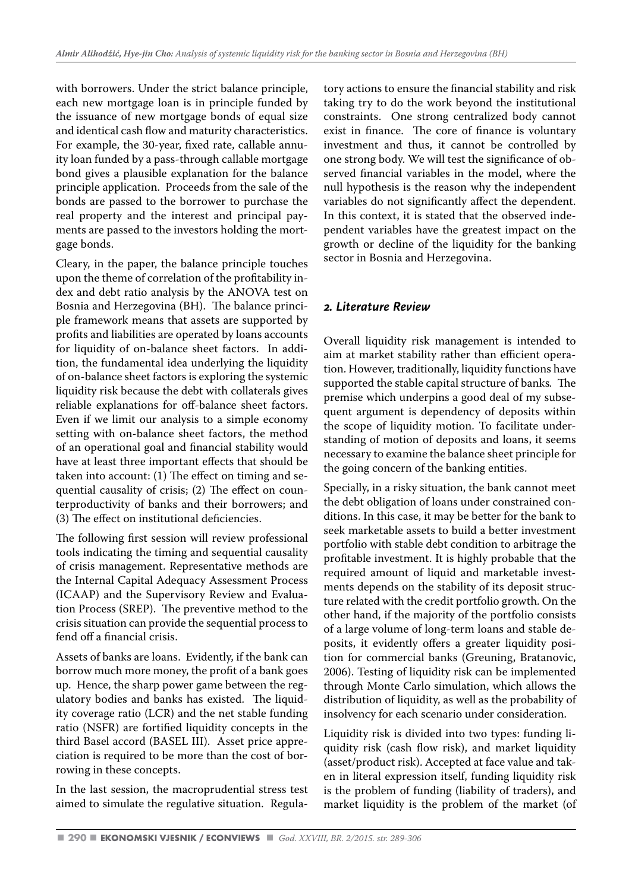with borrowers. Under the strict balance principle, each new mortgage loan is in principle funded by the issuance of new mortgage bonds of equal size and identical cash flow and maturity characteristics. For example, the 30-year, fixed rate, callable annuity loan funded by a pass-through callable mortgage bond gives a plausible explanation for the balance principle application. Proceeds from the sale of the bonds are passed to the borrower to purchase the real property and the interest and principal payments are passed to the investors holding the mortgage bonds.

Cleary, in the paper, the balance principle touches upon the theme of correlation of the profitability index and debt ratio analysis by the ANOVA test on Bosnia and Herzegovina (BH). The balance principle framework means that assets are supported by profits and liabilities are operated by loans accounts for liquidity of on-balance sheet factors. In addition, the fundamental idea underlying the liquidity of on-balance sheet factors is exploring the systemic liquidity risk because the debt with collaterals gives reliable explanations for off-balance sheet factors. Even if we limit our analysis to a simple economy setting with on-balance sheet factors, the method of an operational goal and financial stability would have at least three important effects that should be taken into account: (1) The effect on timing and sequential causality of crisis; (2) The effect on counterproductivity of banks and their borrowers; and (3) The effect on institutional deficiencies.

The following first session will review professional tools indicating the timing and sequential causality of crisis management. Representative methods are the Internal Capital Adequacy Assessment Process (ICAAP) and the Supervisory Review and Evaluation Process (SREP). The preventive method to the crisis situation can provide the sequential process to fend off a financial crisis.

Assets of banks are loans. Evidently, if the bank can borrow much more money, the profit of a bank goes up. Hence, the sharp power game between the regulatory bodies and banks has existed. The liquidity coverage ratio (LCR) and the net stable funding ratio (NSFR) are fortified liquidity concepts in the third Basel accord (BASEL III). Asset price appreciation is required to be more than the cost of borrowing in these concepts.

In the last session, the macroprudential stress test aimed to simulate the regulative situation. Regula-

tory actions to ensure the financial stability and risk taking try to do the work beyond the institutional constraints. One strong centralized body cannot exist in finance. The core of finance is voluntary investment and thus, it cannot be controlled by one strong body. We will test the significance of observed financial variables in the model, where the null hypothesis is the reason why the independent variables do not significantly affect the dependent. In this context, it is stated that the observed independent variables have the greatest impact on the growth or decline of the liquidity for the banking sector in Bosnia and Herzegovina.

# *2. Literature Review*

Overall liquidity risk management is intended to aim at market stability rather than efficient operation. However, traditionally, liquidity functions have supported the stable capital structure of banks*.* The premise which underpins a good deal of my subsequent argument is dependency of deposits within the scope of liquidity motion. To facilitate understanding of motion of deposits and loans, it seems necessary to examine the balance sheet principle for the going concern of the banking entities.

Specially, in a risky situation, the bank cannot meet the debt obligation of loans under constrained conditions. In this case, it may be better for the bank to seek marketable assets to build a better investment portfolio with stable debt condition to arbitrage the profitable investment. It is highly probable that the required amount of liquid and marketable investments depends on the stability of its deposit structure related with the credit portfolio growth. On the other hand, if the majority of the portfolio consists of a large volume of long-term loans and stable deposits, it evidently offers a greater liquidity position for commercial banks (Greuning, Bratanovic, 2006). Testing of liquidity risk can be implemented through Monte Carlo simulation, which allows the distribution of liquidity, as well as the probability of insolvency for each scenario under consideration.

Liquidity risk is divided into two types: funding liquidity risk (cash flow risk), and market liquidity (asset/product risk). Accepted at face value and taken in literal expression itself, funding liquidity risk is the problem of funding (liability of traders), and market liquidity is the problem of the market (of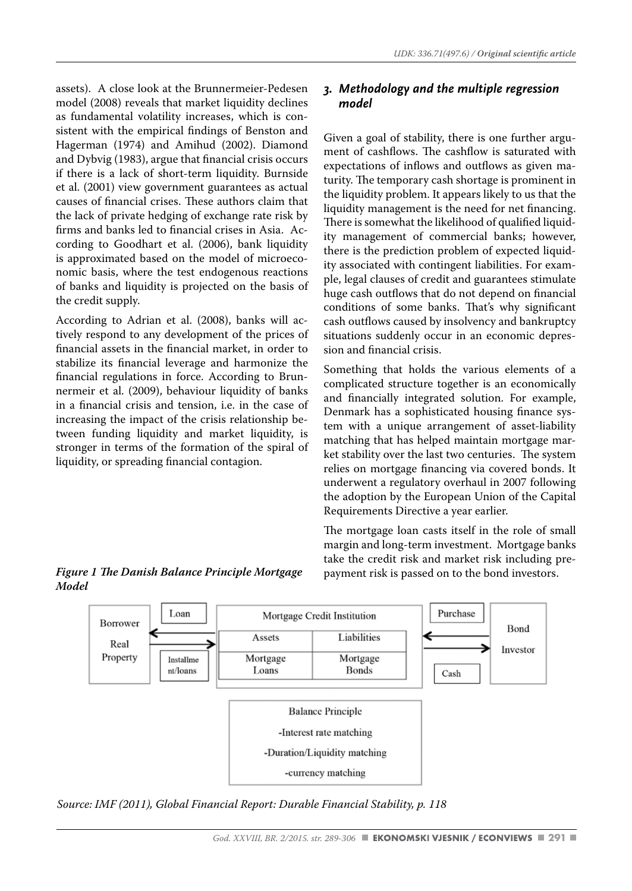assets). A close look at the Brunnermeier-Pedesen model (2008) reveals that market liquidity declines as fundamental volatility increases, which is consistent with the empirical findings of Benston and Hagerman (1974) and Amihud (2002). Diamond and Dybvig (1983), argue that financial crisis occurs if there is a lack of short-term liquidity. Burnside et al. (2001) view government guarantees as actual causes of financial crises. These authors claim that the lack of private hedging of exchange rate risk by firms and banks led to financial crises in Asia. According to Goodhart et al. (2006), bank liquidity is approximated based on the model of microeconomic basis, where the test endogenous reactions of banks and liquidity is projected on the basis of the credit supply.

According to Adrian et al. (2008), banks will actively respond to any development of the prices of financial assets in the financial market, in order to stabilize its financial leverage and harmonize the financial regulations in force. According to Brunnermeir et al. (2009), behaviour liquidity of banks in a financial crisis and tension, i.e. in the case of increasing the impact of the crisis relationship between funding liquidity and market liquidity, is stronger in terms of the formation of the spiral of liquidity, or spreading financial contagion.

# *3. Methodology and the multiple regression model*

Given a goal of stability, there is one further argument of cashflows. The cashflow is saturated with expectations of inflows and outflows as given maturity. The temporary cash shortage is prominent in the liquidity problem. It appears likely to us that the liquidity management is the need for net financing. There is somewhat the likelihood of qualified liquidity management of commercial banks; however, there is the prediction problem of expected liquidity associated with contingent liabilities. For example, legal clauses of credit and guarantees stimulate huge cash outflows that do not depend on financial conditions of some banks. That's why significant cash outflows caused by insolvency and bankruptcy situations suddenly occur in an economic depression and financial crisis.

Something that holds the various elements of a complicated structure together is an economically and financially integrated solution. For example, Denmark has a sophisticated housing finance system with a unique arrangement of asset-liability matching that has helped maintain mortgage market stability over the last two centuries. The system relies on mortgage financing via covered bonds. It underwent a regulatory overhaul in 2007 following the adoption by the European Union of the Capital Requirements Directive a year earlier.

# *Figure 1 The Danish Balance Principle Mortgage Model*

The mortgage loan casts itself in the role of small margin and long-term investment. Mortgage banks take the credit risk and market risk including prepayment risk is passed on to the bond investors.



*Source: IMF (2011), Global Financial Report: Durable Financial Stability, p. 118*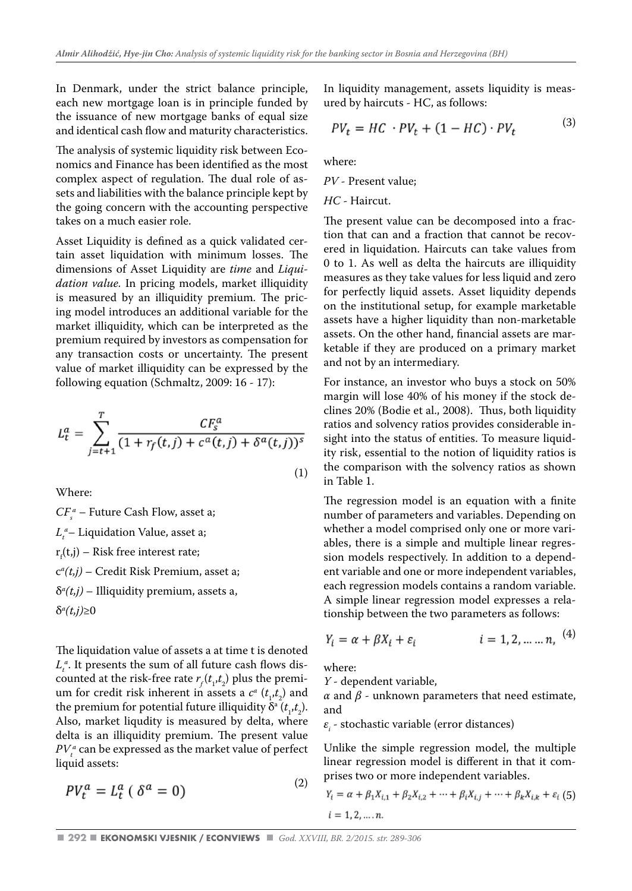In Denmark, under the strict balance principle, each new mortgage loan is in principle funded by the issuance of new mortgage banks of equal size and identical cash flow and maturity characteristics.

The analysis of systemic liquidity risk between Economics and Finance has been identified as the most complex aspect of regulation. The dual role of assets and liabilities with the balance principle kept by the going concern with the accounting perspective takes on a much easier role.

Asset Liquidity is defined as a quick validated certain asset liquidation with minimum losses. The dimensions of Asset Liquidity are *time* and *Liquidation value.* In pricing models, market illiquidity is measured by an illiquidity premium. The pricing model introduces an additional variable for the market illiquidity, which can be interpreted as the premium required by investors as compensation for any transaction costs or uncertainty. The present value of market illiquidity can be expressed by the following equation (Schmaltz, 2009: 16 - 17):

$$
L_t^a = \sum_{j=t+1}^T \frac{CF_s^a}{(1 + r_f(t, j) + c^a(t, j) + \delta^a(t, j))^s}
$$
(1)

Where:

 $CF_s^a$  – Future Cash Flow, asset a;  $L_t^a$ – Liquidation Value, asset a;  $r_f(t,j)$  – Risk free interest rate; c*a (t,j)* – Credit Risk Premium, asset a; δ*a (t,j)* – Illiquidity premium, assets a, δ*a (t,j)*≥0

The liquidation value of assets a at time t is denoted  $L_t^a$ . It presents the sum of all future cash flows discounted at the risk-free rate  $r_f(t_1, t_2)$  plus the premium for credit risk inherent in assets a  $c^a$  ( $t_1$ , $t_2$ ) and the premium for potential future illiquidity  $\delta^a(t_1,t_2)$ . Also, market liqudity is measured by delta, where delta is an illiquidity premium. The present value  $PV_t^a$  can be expressed as the market value of perfect liquid assets:

$$
PV_t^a = L_t^a \left( \delta^a = 0 \right) \tag{2}
$$

In liquidity management, assets liquidity is measured by haircuts - HC, as follows:

$$
PV_t = HC \cdot PV_t + (1 - HC) \cdot PV_t \tag{3}
$$

where:

*PV* - Present value;

*HC* - Haircut.

The present value can be decomposed into a fraction that can and a fraction that cannot be recovered in liquidation. Haircuts can take values from 0 to 1. As well as delta the haircuts are illiquidity measures as they take values for less liquid and zero for perfectly liquid assets. Asset liquidity depends on the institutional setup, for example marketable assets have a higher liquidity than non-marketable assets. On the other hand, financial assets are marketable if they are produced on a primary market and not by an intermediary.

For instance, an investor who buys a stock on 50% margin will lose 40% of his money if the stock declines 20% (Bodie et al., 2008). Thus, both liquidity ratios and solvency ratios provides considerable insight into the status of entities. To measure liquidity risk, essential to the notion of liquidity ratios is the comparison with the solvency ratios as shown in Table 1.

The regression model is an equation with a finite number of parameters and variables. Depending on whether a model comprised only one or more variables, there is a simple and multiple linear regression models respectively. In addition to a dependent variable and one or more independent variables, each regression models contains a random variable. A simple linear regression model expresses a relationship between the two parameters as follows:

$$
Y_i = \alpha + \beta X_i + \varepsilon_i
$$
   
  $i = 1, 2, ..., n, \quad (4)$ 

 $(4)$ 

where:

*Y* - dependent variable,

 $α$  and  $β$  - unknown parameters that need estimate, and

 $\varepsilon_{i}$  - stochastic variable (error distances)

Unlike the simple regression model, the multiple linear regression model is different in that it comprises two or more independent variables.

$$
Y_i = \alpha + \beta_1 X_{i,1} + \beta_2 X_{i,2} + \dots + \beta_i X_{i,j} + \dots + \beta_k X_{i,k} + \varepsilon_i
$$
 (5)  

$$
i = 1, 2, \dots, n.
$$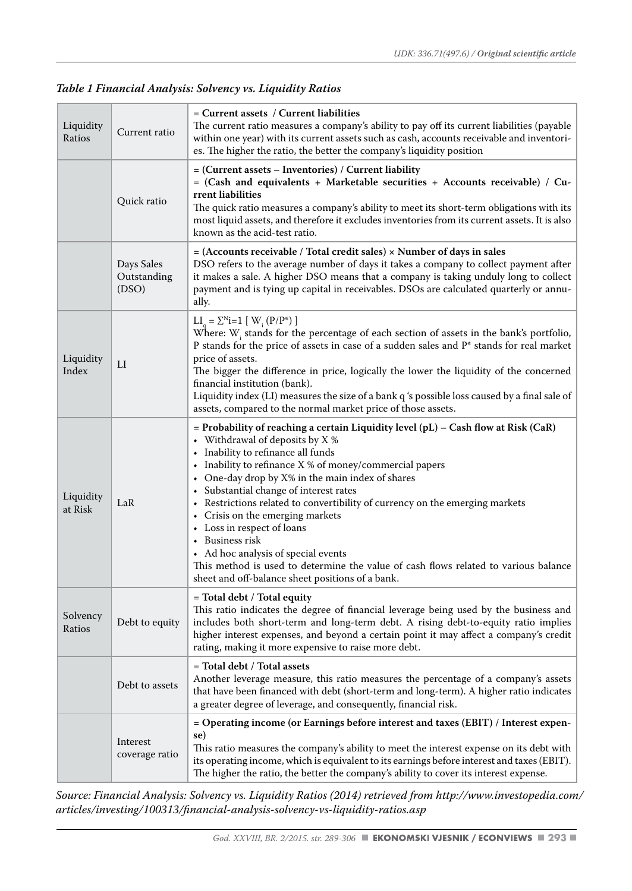# *Table 1 Financial Analysis: Solvency vs. Liquidity Ratios*

| Liquidity<br>Ratios  | Current ratio                      | = Current assets / Current liabilities<br>The current ratio measures a company's ability to pay off its current liabilities (payable<br>within one year) with its current assets such as cash, accounts receivable and inventori-<br>es. The higher the ratio, the better the company's liquidity position                                                                                                                                                                                                                                                                                                                                                                      |
|----------------------|------------------------------------|---------------------------------------------------------------------------------------------------------------------------------------------------------------------------------------------------------------------------------------------------------------------------------------------------------------------------------------------------------------------------------------------------------------------------------------------------------------------------------------------------------------------------------------------------------------------------------------------------------------------------------------------------------------------------------|
|                      | Quick ratio                        | = (Current assets – Inventories) / Current liability<br>$=$ (Cash and equivalents + Marketable securities + Accounts receivable) / Cu-<br>rrent liabilities<br>The quick ratio measures a company's ability to meet its short-term obligations with its<br>most liquid assets, and therefore it excludes inventories from its current assets. It is also<br>known as the acid-test ratio.                                                                                                                                                                                                                                                                                       |
|                      | Days Sales<br>Outstanding<br>(DSO) | $=$ (Accounts receivable / Total credit sales) $\times$ Number of days in sales<br>DSO refers to the average number of days it takes a company to collect payment after<br>it makes a sale. A higher DSO means that a company is taking unduly long to collect<br>payment and is tying up capital in receivables. DSOs are calculated quarterly or annu-<br>ally.                                                                                                                                                                                                                                                                                                               |
| Liquidity<br>Index   | LI                                 | $LI_a = \sum_{i=1}^{N} [W_i (P/P^*)]$<br>Where: $W_i$ stands for the percentage of each section of assets in the bank's portfolio,<br>P stands for the price of assets in case of a sudden sales and $\mathrm{P}^*$ stands for real market<br>price of assets.<br>The bigger the difference in price, logically the lower the liquidity of the concerned<br>financial institution (bank).<br>Liquidity index (LI) measures the size of a bank q 's possible loss caused by a final sale of<br>assets, compared to the normal market price of those assets.                                                                                                                      |
| Liquidity<br>at Risk | LaR                                | = Probability of reaching a certain Liquidity level (pL) – Cash flow at Risk (CaR)<br>• Withdrawal of deposits by $X$ %<br>• Inability to refinance all funds<br>- Inability to refinance $X$ % of money/commercial papers<br>• One-day drop by X% in the main index of shares<br>• Substantial change of interest rates<br>• Restrictions related to convertibility of currency on the emerging markets<br>• Crisis on the emerging markets<br>• Loss in respect of loans<br>• Business risk<br>• Ad hoc analysis of special events<br>This method is used to determine the value of cash flows related to various balance<br>sheet and off-balance sheet positions of a bank. |
| Solvency<br>Ratios   | Debt to equity                     | = Total debt / Total equity<br>This ratio indicates the degree of financial leverage being used by the business and<br>includes both short-term and long-term debt. A rising debt-to-equity ratio implies<br>higher interest expenses, and beyond a certain point it may affect a company's credit<br>rating, making it more expensive to raise more debt.                                                                                                                                                                                                                                                                                                                      |
|                      | Debt to assets                     | = Total debt / Total assets<br>Another leverage measure, this ratio measures the percentage of a company's assets<br>that have been financed with debt (short-term and long-term). A higher ratio indicates<br>a greater degree of leverage, and consequently, financial risk.                                                                                                                                                                                                                                                                                                                                                                                                  |
|                      | Interest<br>coverage ratio         | = Operating income (or Earnings before interest and taxes (EBIT) / Interest expen-<br>se)<br>This ratio measures the company's ability to meet the interest expense on its debt with<br>its operating income, which is equivalent to its earnings before interest and taxes (EBIT).<br>The higher the ratio, the better the company's ability to cover its interest expense.                                                                                                                                                                                                                                                                                                    |

*Source: Financial Analysis: Solvency vs. Liquidity Ratios (2014) retrieved from http://www.investopedia.com/ articles/investing/100313/financial-analysis-solvency-vs-liquidity-ratios.asp*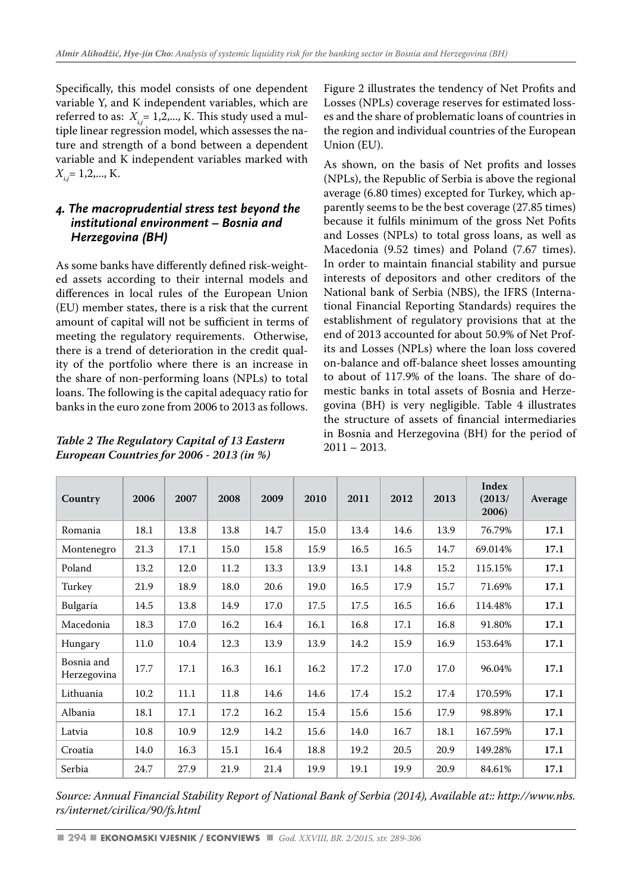Specifically, this model consists of one dependent variable Y, and K independent variables, which are referred to as:  $X_i = 1, 2, \dots, K$ . This study used a multiple linear regression model, which assesses the nature and strength of a bond between a dependent variable and K independent variables marked with *Xi,j*= 1,2,..., K.

# *4. The macroprudential stress test beyond the institutional environment – Bosnia and Herzegovina (BH)*

As some banks have differently defined risk-weighted assets according to their internal models and differences in local rules of the European Union (EU) member states, there is a risk that the current amount of capital will not be sufficient in terms of meeting the regulatory requirements. Otherwise, there is a trend of deterioration in the credit quality of the portfolio where there is an increase in the share of non-performing loans (NPLs) to total loans. The following is the capital adequacy ratio for banks in the euro zone from 2006 to 2013 as follows.

*Table 2 The Regulatory Capital of 13 Eastern European Countries for 2006 - 2013 (in %)*

Figure 2 illustrates the tendency of Net Profits and Losses (NPLs) coverage reserves for estimated losses and the share of problematic loans of countries in the region and individual countries of the European Union (EU).

As shown, on the basis of Net profits and losses (NPLs), the Republic of Serbia is above the regional average (6.80 times) excepted for Turkey, which apparently seems to be the best coverage (27.85 times) because it fulfils minimum of the gross Net Pofits and Losses (NPLs) to total gross loans, as well as Macedonia (9.52 times) and Poland (7.67 times). In order to maintain financial stability and pursue interests of depositors and other creditors of the National bank of Serbia (NBS), the IFRS (International Financial Reporting Standards) requires the establishment of regulatory provisions that at the end of 2013 accounted for about 50.9% of Net Profits and Losses (NPLs) where the loan loss covered on-balance and off-balance sheet losses amounting to about of 117.9% of the loans. The share of domestic banks in total assets of Bosnia and Herzegovina (BH) is very negligible. Table 4 illustrates the structure of assets of financial intermediaries in Bosnia and Herzegovina (BH) for the period of 2011 – 2013.

| Country                   | 2006 | 2007 | 2008 | 2009 | 2010 | 2011 | 2012 | 2013 | Index<br>(2013/<br>2006) | Average |
|---------------------------|------|------|------|------|------|------|------|------|--------------------------|---------|
| Romania                   | 18.1 | 13.8 | 13.8 | 14.7 | 15.0 | 13.4 | 14.6 | 13.9 | 76.79%                   | 17.1    |
| Montenegro                | 21.3 | 17.1 | 15.0 | 15.8 | 15.9 | 16.5 | 16.5 | 14.7 | 69.014%                  | 17.1    |
| Poland                    | 13.2 | 12.0 | 11.2 | 13.3 | 13.9 | 13.1 | 14.8 | 15.2 | 115.15%                  | 17.1    |
| Turkey                    | 21.9 | 18.9 | 18.0 | 20.6 | 19.0 | 16.5 | 17.9 | 15.7 | 71.69%                   | 17.1    |
| Bulgaria                  | 14.5 | 13.8 | 14.9 | 17.0 | 17.5 | 17.5 | 16.5 | 16.6 | 114.48%                  | 17.1    |
| Macedonia                 | 18.3 | 17.0 | 16.2 | 16.4 | 16.1 | 16.8 | 17.1 | 16.8 | 91.80%                   | 17.1    |
| Hungary                   | 11.0 | 10.4 | 12.3 | 13.9 | 13.9 | 14.2 | 15.9 | 16.9 | 153.64%                  | 17.1    |
| Bosnia and<br>Herzegovina | 17.7 | 17.1 | 16.3 | 16.1 | 16.2 | 17.2 | 17.0 | 17.0 | 96.04%                   | 17.1    |
| Lithuania                 | 10.2 | 11.1 | 11.8 | 14.6 | 14.6 | 17.4 | 15.2 | 17.4 | 170.59%                  | 17.1    |
| Albania                   | 18.1 | 17.1 | 17.2 | 16.2 | 15.4 | 15.6 | 15.6 | 17.9 | 98.89%                   | 17.1    |
| Latvia                    | 10.8 | 10.9 | 12.9 | 14.2 | 15.6 | 14.0 | 16.7 | 18.1 | 167.59%                  | 17.1    |
| Croatia                   | 14.0 | 16.3 | 15.1 | 16.4 | 18.8 | 19.2 | 20.5 | 20.9 | 149.28%                  | 17.1    |
| Serbia                    | 24.7 | 27.9 | 21.9 | 21.4 | 19.9 | 19.1 | 19.9 | 20.9 | 84.61%                   | 17.1    |

*Source: Annual Financial Stability Report of National Bank of Serbia (2014), Available at:: http://www.nbs. rs/internet/cirilica/90/fs.html*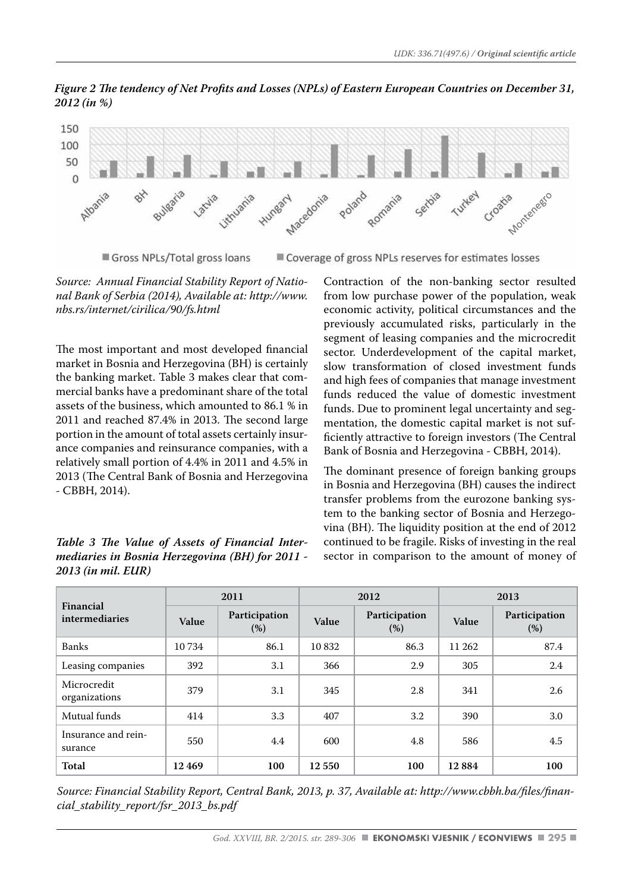*Figure 2 The tendency of Net Profits and Losses (NPLs) of Eastern European Countries on December 31, 2012 (in %)*



Gross NPLs/Total gross loans

Coverage of gross NPLs reserves for estimates losses

*Source: Annual Financial Stability Report of National Bank of Serbia (2014), Available at: http://www. nbs.rs/internet/cirilica/90/fs.html* 

The most important and most developed financial market in Bosnia and Herzegovina (BH) is certainly the banking market. Table 3 makes clear that commercial banks have a predominant share of the total assets of the business, which amounted to 86.1 % in 2011 and reached 87.4% in 2013. The second large portion in the amount of total assets certainly insurance companies and reinsurance companies, with a relatively small portion of 4.4% in 2011 and 4.5% in 2013 (The Central Bank of Bosnia and Herzegovina - CBBH, 2014).

*Table 3 The Value of Assets of Financial Intermediaries in Bosnia Herzegovina (BH) for 2011 - 2013 (in mil. EUR)* 

Contraction of the non-banking sector resulted from low purchase power of the population, weak economic activity, political circumstances and the previously accumulated risks, particularly in the segment of leasing companies and the microcredit sector. Underdevelopment of the capital market, slow transformation of closed investment funds and high fees of companies that manage investment funds reduced the value of domestic investment funds. Due to prominent legal uncertainty and segmentation, the domestic capital market is not sufficiently attractive to foreign investors (The Central Bank of Bosnia and Herzegovina - CBBH, 2014).

The dominant presence of foreign banking groups in Bosnia and Herzegovina (BH) causes the indirect transfer problems from the eurozone banking system to the banking sector of Bosnia and Herzegovina (BH). The liquidity position at the end of 2012 continued to be fragile. Risks of investing in the real sector in comparison to the amount of money of

| Financial                      |         | 2011                  |       | 2012                 | 2013   |                      |  |
|--------------------------------|---------|-----------------------|-------|----------------------|--------|----------------------|--|
| intermediaries                 | Value   | Participation<br>(% ) | Value | Participation<br>(%) | Value  | Participation<br>(%) |  |
| <b>Banks</b>                   | 10 7 34 | 86.1                  | 10832 | 86.3                 | 11 262 | 87.4                 |  |
| Leasing companies              | 392     | 3.1                   | 366   | 2.9                  | 305    | 2.4                  |  |
| Microcredit<br>organizations   | 379     | 3.1                   | 345   | 2.8                  | 341    | 2.6                  |  |
| Mutual funds                   | 414     | 3.3                   | 407   | $3.2\phantom{0}$     | 390    | 3.0                  |  |
| Insurance and rein-<br>surance | 550     | 4.4                   |       | 4.8<br>600           |        | 4.5                  |  |
| Total                          | 12469   | 100                   | 12550 | 100                  | 12884  | 100                  |  |

*Source: Financial Stability Report, Central Bank, 2013, p. 37, Available at: http://www.cbbh.ba/files/financial\_stability\_report/fsr\_2013\_bs.pdf*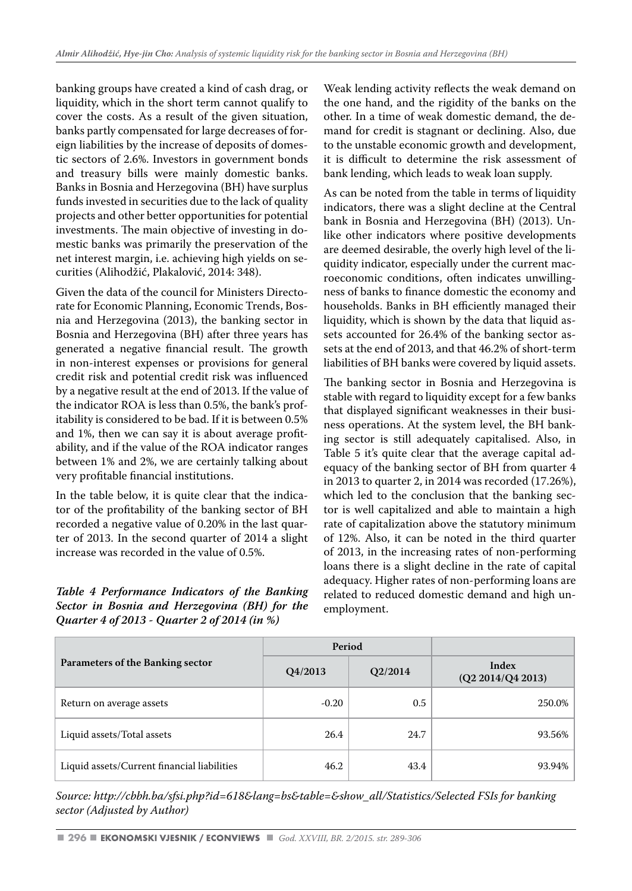banking groups have created a kind of cash drag, or liquidity, which in the short term cannot qualify to cover the costs. As a result of the given situation, banks partly compensated for large decreases of foreign liabilities by the increase of deposits of domestic sectors of 2.6%. Investors in government bonds and treasury bills were mainly domestic banks. Banks in Bosnia and Herzegovina (BH) have surplus funds invested in securities due to the lack of quality projects and other better opportunities for potential investments. The main objective of investing in domestic banks was primarily the preservation of the net interest margin, i.e. achieving high yields on securities (Alihodžić, Plakalović, 2014: 348).

Given the data of the council for Ministers Directorate for Economic Planning, Economic Trends, Bosnia and Herzegovina (2013), the banking sector in Bosnia and Herzegovina (BH) after three years has generated a negative financial result. The growth in non-interest expenses or provisions for general credit risk and potential credit risk was influenced by a negative result at the end of 2013. If the value of the indicator ROA is less than 0.5%, the bank's profitability is considered to be bad. If it is between 0.5% and 1%, then we can say it is about average profitability, and if the value of the ROA indicator ranges between 1% and 2%, we are certainly talking about very profitable financial institutions.

In the table below, it is quite clear that the indicator of the profitability of the banking sector of BH recorded a negative value of 0.20% in the last quarter of 2013. In the second quarter of 2014 a slight increase was recorded in the value of 0.5%.

#### *Table 4 Performance Indicators of the Banking Sector in Bosnia and Herzegovina (BH) for the Quarter 4 of 2013 - Quarter 2 of 2014 (in %)*

Weak lending activity reflects the weak demand on the one hand, and the rigidity of the banks on the other. In a time of weak domestic demand, the demand for credit is stagnant or declining. Also, due to the unstable economic growth and development, it is difficult to determine the risk assessment of bank lending, which leads to weak loan supply.

As can be noted from the table in terms of liquidity indicators, there was a slight decline at the Central bank in Bosnia and Herzegovina (BH) (2013). Unlike other indicators where positive developments are deemed desirable, the overly high level of the liquidity indicator, especially under the current macroeconomic conditions, often indicates unwillingness of banks to finance domestic the economy and households. Banks in BH efficiently managed their liquidity, which is shown by the data that liquid assets accounted for 26.4% of the banking sector assets at the end of 2013, and that 46.2% of short-term liabilities of BH banks were covered by liquid assets.

The banking sector in Bosnia and Herzegovina is stable with regard to liquidity except for a few banks that displayed significant weaknesses in their business operations. At the system level, the BH banking sector is still adequately capitalised. Also, in Table 5 it's quite clear that the average capital adequacy of the banking sector of BH from quarter 4 in 2013 to quarter 2, in 2014 was recorded (17.26%), which led to the conclusion that the banking sector is well capitalized and able to maintain a high rate of capitalization above the statutory minimum of 12%. Also, it can be noted in the third quarter of 2013, in the increasing rates of non-performing loans there is a slight decline in the rate of capital adequacy. Higher rates of non-performing loans are related to reduced domestic demand and high unemployment.

|                                             | Period  |         |                            |
|---------------------------------------------|---------|---------|----------------------------|
| Parameters of the Banking sector            | Q4/2013 | Q2/2014 | Index<br>(Q2 2014/Q4 2013) |
| Return on average assets                    | $-0.20$ | 0.5     | 250.0%                     |
| Liquid assets/Total assets                  | 26.4    | 24.7    | 93.56%                     |
| Liquid assets/Current financial liabilities | 46.2    | 43.4    | 93.94%                     |

*Source: http://cbbh.ba/sfsi.php?id=618&lang=bs&table=&show\_all/Statistics/Selected FSIs for banking sector (Adjusted by Author)*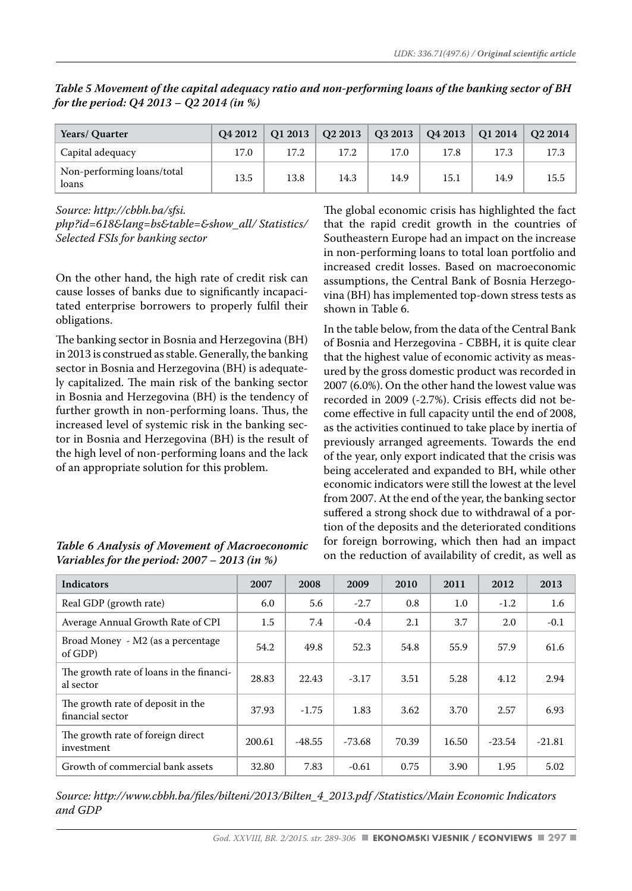| Years/ Quarter                      | <b>O4 2012</b> | Q1 2013 |      | $Q22013$   $Q32013$ | Q42013 | <b>Q1 2014</b> | O <sub>2</sub> 2014 |
|-------------------------------------|----------------|---------|------|---------------------|--------|----------------|---------------------|
| Capital adequacy                    | 17.0           | 17.2    | 17.2 | 17.0                | 17.8   | 17.3           | 17.3                |
| Non-performing loans/total<br>loans | 13.5           | 13.8    | 14.3 | 14.9                | 15.1   | 14.9           | 15.5                |

*Table 5 Movement of the capital adequacy ratio and non-performing loans of the banking sector of BH for the period: Q4 2013 – Q2 2014 (in %)*

*Source: http://cbbh.ba/sfsi.*

*php?id=618&lang=bs&table=&show\_all/ Statistics/ Selected FSIs for banking sector* 

On the other hand, the high rate of credit risk can cause losses of banks due to significantly incapacitated enterprise borrowers to properly fulfil their obligations.

The banking sector in Bosnia and Herzegovina (BH) in 2013 is construed as stable. Generally, the banking sector in Bosnia and Herzegovina (BH) is adequately capitalized. The main risk of the banking sector in Bosnia and Herzegovina (BH) is the tendency of further growth in non-performing loans. Thus, the increased level of systemic risk in the banking sector in Bosnia and Herzegovina (BH) is the result of the high level of non-performing loans and the lack of an appropriate solution for this problem.

*Table 6 Analysis of Movement of Macroeconomic Variables for the period: 2007 – 2013 (in %)*

# The global economic crisis has highlighted the fact that the rapid credit growth in the countries of Southeastern Europe had an impact on the increase in non-performing loans to total loan portfolio and increased credit losses. Based on macroeconomic assumptions, the Central Bank of Bosnia Herzegovina (BH) has implemented top-down stress tests as shown in Table 6.

In the table below, from the data of the Central Bank of Bosnia and Herzegovina - CBBH, it is quite clear that the highest value of economic activity as measured by the gross domestic product was recorded in 2007 (6.0%). On the other hand the lowest value was recorded in 2009 (-2.7%). Crisis effects did not become effective in full capacity until the end of 2008, as the activities continued to take place by inertia of previously arranged agreements. Towards the end of the year, only export indicated that the crisis was being accelerated and expanded to BH, while other economic indicators were still the lowest at the level from 2007. At the end of the year, the banking sector suffered a strong shock due to withdrawal of a portion of the deposits and the deteriorated conditions for foreign borrowing, which then had an impact on the reduction of availability of credit, as well as

| <b>Indicators</b>                                     | 2007    | 2008     | 2009     | 2010  | 2011  | 2012     | 2013     |
|-------------------------------------------------------|---------|----------|----------|-------|-------|----------|----------|
| Real GDP (growth rate)                                | 6.0     | 5.6      | $-2.7$   | 0.8   | 1.0   | $-1.2$   | 1.6      |
| Average Annual Growth Rate of CPI                     | $1.5\,$ | 7.4      | $-0.4$   | 2.1   | 3.7   | 2.0      | $-0.1$   |
| Broad Money - M2 (as a percentage<br>of GDP)          | 54.2    | 49.8     | 52.3     | 54.8  | 55.9  | 57.9     | 61.6     |
| The growth rate of loans in the financi-<br>al sector | 28.83   | 22.43    | $-3.17$  | 3.51  | 5.28  | 4.12     | 2.94     |
| The growth rate of deposit in the<br>financial sector | 37.93   | $-1.75$  | 1.83     | 3.62  | 3.70  | 2.57     | 6.93     |
| The growth rate of foreign direct<br>investment       | 200.61  | $-48.55$ | $-73.68$ | 70.39 | 16.50 | $-23.54$ | $-21.81$ |
| Growth of commercial bank assets                      | 32.80   | 7.83     | $-0.61$  | 0.75  | 3.90  | 1.95     | 5.02     |

*Source: http://www.cbbh.ba/files/bilteni/2013/Bilten\_4\_2013.pdf /Statistics/Main Economic Indicators and GDP*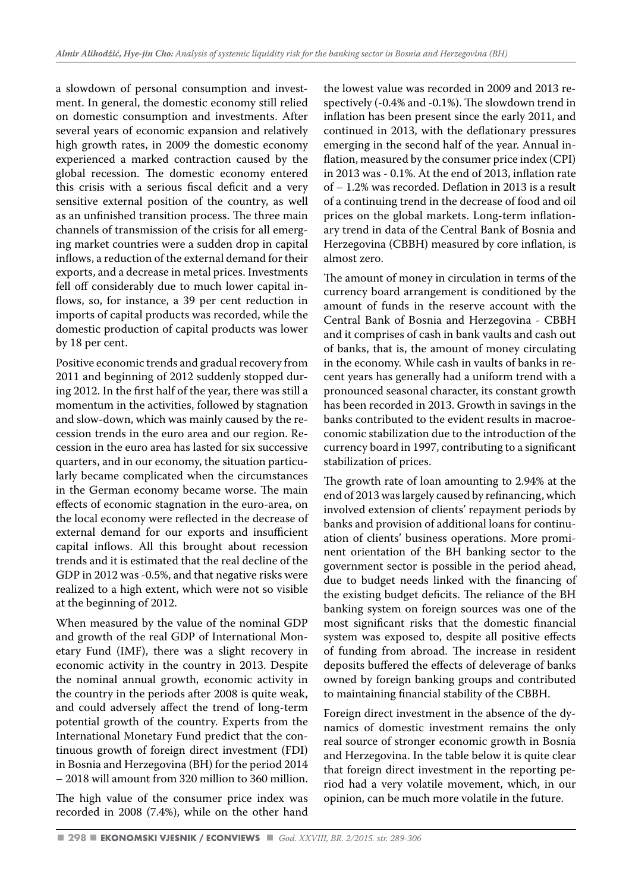a slowdown of personal consumption and investment. In general, the domestic economy still relied on domestic consumption and investments. After several years of economic expansion and relatively high growth rates, in 2009 the domestic economy experienced a marked contraction caused by the global recession. The domestic economy entered this crisis with a serious fiscal deficit and a very sensitive external position of the country, as well as an unfinished transition process. The three main channels of transmission of the crisis for all emerging market countries were a sudden drop in capital inflows, a reduction of the external demand for their exports, and a decrease in metal prices. Investments fell off considerably due to much lower capital inflows, so, for instance, a 39 per cent reduction in imports of capital products was recorded, while the domestic production of capital products was lower by 18 per cent.

Positive economic trends and gradual recovery from 2011 and beginning of 2012 suddenly stopped during 2012. In the first half of the year, there was still a momentum in the activities, followed by stagnation and slow-down, which was mainly caused by the recession trends in the euro area and our region. Recession in the euro area has lasted for six successive quarters, and in our economy, the situation particularly became complicated when the circumstances in the German economy became worse. The main effects of economic stagnation in the euro-area, on the local economy were reflected in the decrease of external demand for our exports and insufficient capital inflows. All this brought about recession trends and it is estimated that the real decline of the GDP in 2012 was -0.5%, and that negative risks were realized to a high extent, which were not so visible at the beginning of 2012.

When measured by the value of the nominal GDP and growth of the real GDP of International Monetary Fund (IMF), there was a slight recovery in economic activity in the country in 2013. Despite the nominal annual growth, economic activity in the country in the periods after 2008 is quite weak, and could adversely affect the trend of long-term potential growth of the country. Experts from the International Monetary Fund predict that the continuous growth of foreign direct investment (FDI) in Bosnia and Herzegovina (BH) for the period 2014 – 2018 will amount from 320 million to 360 million.

The high value of the consumer price index was recorded in 2008 (7.4%), while on the other hand the lowest value was recorded in 2009 and 2013 respectively (-0.4% and -0.1%). The slowdown trend in inflation has been present since the early 2011, and continued in 2013, with the deflationary pressures emerging in the second half of the year. Annual inflation, measured by the consumer price index (CPI) in 2013 was - 0.1%. At the end of 2013, inflation rate of – 1.2% was recorded. Deflation in 2013 is a result of a continuing trend in the decrease of food and oil prices on the global markets. Long-term inflationary trend in data of the Central Bank of Bosnia and Herzegovina (CBBH) measured by core inflation, is almost zero.

The amount of money in circulation in terms of the currency board arrangement is conditioned by the amount of funds in the reserve account with the Central Bank of Bosnia and Herzegovina - CBBH and it comprises of cash in bank vaults and cash out of banks, that is, the amount of money circulating in the economy. While cash in vaults of banks in recent years has generally had a uniform trend with a pronounced seasonal character, its constant growth has been recorded in 2013. Growth in savings in the banks contributed to the evident results in macroeconomic stabilization due to the introduction of the currency board in 1997, contributing to a significant stabilization of prices.

The growth rate of loan amounting to 2.94% at the end of 2013 was largely caused by refinancing, which involved extension of clients' repayment periods by banks and provision of additional loans for continuation of clients' business operations. More prominent orientation of the BH banking sector to the government sector is possible in the period ahead, due to budget needs linked with the financing of the existing budget deficits. The reliance of the BH banking system on foreign sources was one of the most significant risks that the domestic financial system was exposed to, despite all positive effects of funding from abroad. The increase in resident deposits buffered the effects of deleverage of banks owned by foreign banking groups and contributed to maintaining financial stability of the CBBH.

Foreign direct investment in the absence of the dynamics of domestic investment remains the only real source of stronger economic growth in Bosnia and Herzegovina. In the table below it is quite clear that foreign direct investment in the reporting period had a very volatile movement, which, in our opinion, can be much more volatile in the future.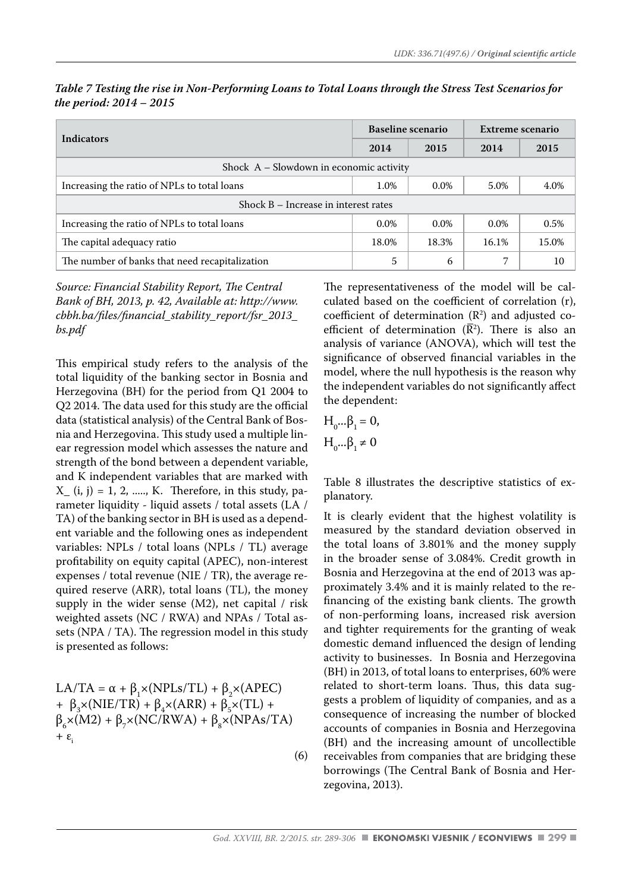| Indicators                                     |         | Baseline scenario | Extreme scenario |       |  |  |  |  |
|------------------------------------------------|---------|-------------------|------------------|-------|--|--|--|--|
|                                                | 2014    | 2015              | 2014             | 2015  |  |  |  |  |
| Shock A – Slowdown in economic activity        |         |                   |                  |       |  |  |  |  |
| Increasing the ratio of NPLs to total loans    | 1.0%    | $0.0\%$           | 5.0%             | 4.0%  |  |  |  |  |
| Shock $B -$ Increase in interest rates         |         |                   |                  |       |  |  |  |  |
| Increasing the ratio of NPLs to total loans    | $0.0\%$ | $0.0\%$           | $0.0\%$          | 0.5%  |  |  |  |  |
| The capital adequacy ratio                     | 18.0%   | 18.3%             | 16.1%            | 15.0% |  |  |  |  |
| The number of banks that need recapitalization | 5       | 6                 | ⇁                | 10    |  |  |  |  |

*Table 7 Testing the rise in Non-Performing Loans to Total Loans through the Stress Test Scenarios for the period: 2014 – 2015*

*Source: Financial Stability Report, The Central Bank of BH, 2013, p. 42, Available at: http://www. cbbh.ba/files/financial\_stability\_report/fsr\_2013\_ bs.pdf*

This empirical study refers to the analysis of the total liquidity of the banking sector in Bosnia and Herzegovina (BH) for the period from Q1 2004 to Q2 2014. The data used for this study are the official data (statistical analysis) of the Central Bank of Bosnia and Herzegovina. This study used a multiple linear regression model which assesses the nature and strength of the bond between a dependent variable, and K independent variables that are marked with  $X_{-}$  (i, j) = 1, 2, ....., K. Therefore, in this study, parameter liquidity - liquid assets / total assets (LA / TA) of the banking sector in BH is used as a dependent variable and the following ones as independent variables: NPLs / total loans (NPLs / TL) average profitability on equity capital (APEC), non-interest expenses / total revenue (NIE / TR), the average required reserve (ARR), total loans (TL), the money supply in the wider sense  $(M2)$ , net capital / risk weighted assets (NC / RWA) and NPAs / Total assets (NPA / TA). The regression model in this study is presented as follows:

LA/TA =  $\alpha$  +  $\beta_1 \times (NPLs/TL) + \beta_2 \times (APEC)$ +  $\beta_3 \times (NIE/TR) + \beta_4 \times (ARR) + \beta_5 \times (TL) +$  $\beta_{6} \times (M2) + \beta_{7} \times (NC/RWA) + \beta_{8} \times (NPAs/TA)$  $+ \varepsilon$ <sub>i</sub>

(6)

The representativeness of the model will be calculated based on the coefficient of correlation (r), coefficient of determination  $(R^2)$  and adjusted coefficient of determination  $(R^2)$ . There is also an analysis of variance (ANOVA), which will test the significance of observed financial variables in the model, where the null hypothesis is the reason why the independent variables do not significantly affect the dependent:

$$
H_0 \dots \beta_1 = 0,
$$

 $H_0 \dots \beta_1 \neq 0$ 

Table 8 illustrates the descriptive statistics of explanatory.

It is clearly evident that the highest volatility is measured by the standard deviation observed in the total loans of 3.801% and the money supply in the broader sense of 3.084%. Credit growth in Bosnia and Herzegovina at the end of 2013 was approximately 3.4% and it is mainly related to the refinancing of the existing bank clients. The growth of non-performing loans, increased risk aversion and tighter requirements for the granting of weak domestic demand influenced the design of lending activity to businesses. In Bosnia and Herzegovina (BH) in 2013, of total loans to enterprises, 60% were related to short-term loans. Thus, this data suggests a problem of liquidity of companies, and as a consequence of increasing the number of blocked accounts of companies in Bosnia and Herzegovina (BH) and the increasing amount of uncollectible receivables from companies that are bridging these borrowings (The Central Bank of Bosnia and Herzegovina, 2013).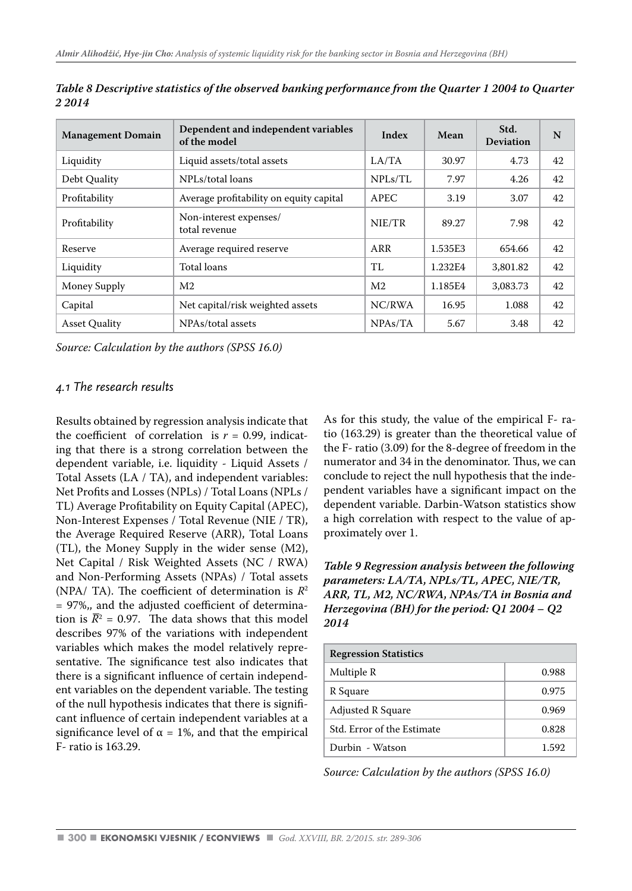| <b>Management Domain</b> | Dependent and independent variables<br>of the model | Index          | Mean    | Std.<br><b>Deviation</b> | N  |
|--------------------------|-----------------------------------------------------|----------------|---------|--------------------------|----|
| Liquidity                | Liquid assets/total assets                          | LA/TA          | 30.97   | 4.73                     | 42 |
| Debt Quality             | NPLs/total loans                                    | NPLs/TL        | 7.97    | 4.26                     | 42 |
| Profitability            | Average profitability on equity capital             | <b>APEC</b>    | 3.19    | 3.07                     | 42 |
| Profitability            | Non-interest expenses/<br>total revenue             | NIE/TR         | 89.27   | 7.98                     | 42 |
| Reserve                  | Average required reserve                            | ARR            | 1.535E3 | 654.66                   | 42 |
| Liquidity                | Total loans                                         | TI.            | 1.232E4 | 3,801.82                 | 42 |
| Money Supply             | M <sub>2</sub>                                      | M <sub>2</sub> | 1.185E4 | 3,083.73                 | 42 |
| Capital                  | Net capital/risk weighted assets                    | NC/RWA         | 16.95   | 1.088                    | 42 |
| <b>Asset Ouality</b>     | NPAs/total assets                                   | NPAs/TA        | 5.67    | 3.48                     | 42 |

*Table 8 Descriptive statistics of the observed banking performance from the Quarter 1 2004 to Quarter 2 2014*

*Source: Calculation by the authors (SPSS 16.0)*

# *4.1 The research results*

Results obtained by regression analysis indicate that the coefficient of correlation is  $r = 0.99$ , indicating that there is a strong correlation between the dependent variable, i.e. liquidity - Liquid Assets / Total Assets (LA / TA), and independent variables: Net Profits and Losses (NPLs) / Total Loans (NPLs / TL) Average Profitability on Equity Capital (APEC), Non-Interest Expenses / Total Revenue (NIE / TR), the Average Required Reserve (ARR), Total Loans (TL), the Money Supply in the wider sense (M2), Net Capital / Risk Weighted Assets (NC / RWA) and Non-Performing Assets (NPAs) / Total assets (NPA/ TA). The coefficient of determination is *R*<sup>2</sup> = 97%,, and the adjusted coefficient of determination is  $R^2 = 0.97$ . The data shows that this model describes 97% of the variations with independent variables which makes the model relatively representative. The significance test also indicates that there is a significant influence of certain independent variables on the dependent variable. The testing of the null hypothesis indicates that there is significant influence of certain independent variables at a significance level of  $\alpha = 1\%$ , and that the empirical F- ratio is 163.29.

As for this study, the value of the empirical F- ratio (163.29) is greater than the theoretical value of the F- ratio (3.09) for the 8-degree of freedom in the numerator and 34 in the denominator. Thus, we can conclude to reject the null hypothesis that the independent variables have a significant impact on the dependent variable. Darbin-Watson statistics show a high correlation with respect to the value of approximately over 1.

*Table 9 Regression analysis between the following parameters: LA/TA, NPLs/TL, APEC, NIE/TR, ARR, TL, M2, NC/RWA, NPAs/TA in Bosnia and Herzegovina (BH) for the period: Q1 2004 – Q2 2014*

| <b>Regression Statistics</b> |       |  |  |  |  |  |
|------------------------------|-------|--|--|--|--|--|
| Multiple R                   | 0.988 |  |  |  |  |  |
| R Square                     | 0.975 |  |  |  |  |  |
| <b>Adjusted R Square</b>     | 0.969 |  |  |  |  |  |
| Std. Error of the Estimate   | 0.828 |  |  |  |  |  |
| Durbin - Watson              | 1.592 |  |  |  |  |  |

*Source: Calculation by the authors (SPSS 16.0)*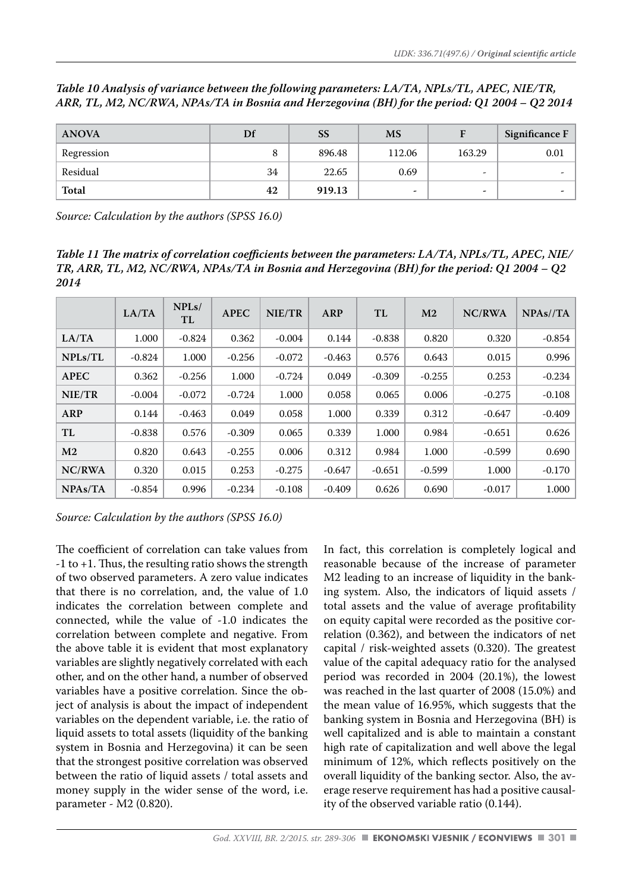|  |  |  | Table 10 Analysis of variance between the following parameters: LA/TA, NPLs/TL, APEC, NIE/TR, |  |  |
|--|--|--|-----------------------------------------------------------------------------------------------|--|--|
|  |  |  | ARR, TL, M2, NC/RWA, NPAs/TA in Bosnia and Herzegovina (BH) for the period: Q1 2004 – Q2 2014 |  |  |

| <b>ANOVA</b> | Df | <b>SS</b> | <b>MS</b> |                          | Significance $F$ |
|--------------|----|-----------|-----------|--------------------------|------------------|
| Regression   |    | 896.48    | 112.06    | 163.29                   | 0.01             |
| Residual     | 34 | 22.65     | 0.69      | $\overline{\phantom{a}}$ |                  |
| Total        | 42 | 919.13    | -         | -                        |                  |

*Source: Calculation by the authors (SPSS 16.0)*

*Table 11 The matrix of correlation coefficients between the parameters: LA/TA, NPLs/TL, APEC, NIE/ TR, ARR, TL, M2, NC/RWA, NPAs/TA in Bosnia and Herzegovina (BH) for the period: Q1 2004 – Q2 2014*

|                | LA/TA    | NPLs/<br>TL | <b>APEC</b> | NIE/TR   | ARP      | TL       | M <sub>2</sub> | NC/RWA   | NPAs//TA |
|----------------|----------|-------------|-------------|----------|----------|----------|----------------|----------|----------|
| LA/TA          | 1.000    | $-0.824$    | 0.362       | $-0.004$ | 0.144    | $-0.838$ | 0.820          | 0.320    | $-0.854$ |
| NPLs/TL        | $-0.824$ | 1.000       | $-0.256$    | $-0.072$ | $-0.463$ | 0.576    | 0.643          | 0.015    | 0.996    |
| <b>APEC</b>    | 0.362    | $-0.256$    | 1.000       | $-0.724$ | 0.049    | $-0.309$ | $-0.255$       | 0.253    | $-0.234$ |
| NIE/TR         | $-0.004$ | $-0.072$    | $-0.724$    | 1.000    | 0.058    | 0.065    | 0.006          | $-0.275$ | $-0.108$ |
| ARP            | 0.144    | $-0.463$    | 0.049       | 0.058    | 1.000    | 0.339    | 0.312          | $-0.647$ | $-0.409$ |
| TL             | $-0.838$ | 0.576       | $-0.309$    | 0.065    | 0.339    | 1.000    | 0.984          | $-0.651$ | 0.626    |
| M <sub>2</sub> | 0.820    | 0.643       | $-0.255$    | 0.006    | 0.312    | 0.984    | 1.000          | $-0.599$ | 0.690    |
| NC/RWA         | 0.320    | 0.015       | 0.253       | $-0.275$ | $-0.647$ | $-0.651$ | $-0.599$       | 1.000    | $-0.170$ |
| NPAs/TA        | -0.854   | 0.996       | $-0.234$    | $-0.108$ | -0.409   | 0.626    | 0.690          | $-0.017$ | 1.000    |

*Source: Calculation by the authors (SPSS 16.0)*

The coefficient of correlation can take values from -1 to +1. Thus, the resulting ratio shows the strength of two observed parameters. A zero value indicates that there is no correlation, and, the value of 1.0 indicates the correlation between complete and connected, while the value of -1.0 indicates the correlation between complete and negative. From the above table it is evident that most explanatory variables are slightly negatively correlated with each other, and on the other hand, a number of observed variables have a positive correlation. Since the object of analysis is about the impact of independent variables on the dependent variable, i.e. the ratio of liquid assets to total assets (liquidity of the banking system in Bosnia and Herzegovina) it can be seen that the strongest positive correlation was observed between the ratio of liquid assets / total assets and money supply in the wider sense of the word, i.e. parameter - M2 (0.820).

In fact, this correlation is completely logical and reasonable because of the increase of parameter M2 leading to an increase of liquidity in the banking system. Also, the indicators of liquid assets / total assets and the value of average profitability on equity capital were recorded as the positive correlation (0.362), and between the indicators of net capital / risk-weighted assets (0.320). The greatest value of the capital adequacy ratio for the analysed period was recorded in 2004 (20.1%), the lowest was reached in the last quarter of 2008 (15.0%) and the mean value of 16.95%, which suggests that the banking system in Bosnia and Herzegovina (BH) is well capitalized and is able to maintain a constant high rate of capitalization and well above the legal minimum of 12%, which reflects positively on the overall liquidity of the banking sector. Also, the average reserve requirement has had a positive causality of the observed variable ratio (0.144).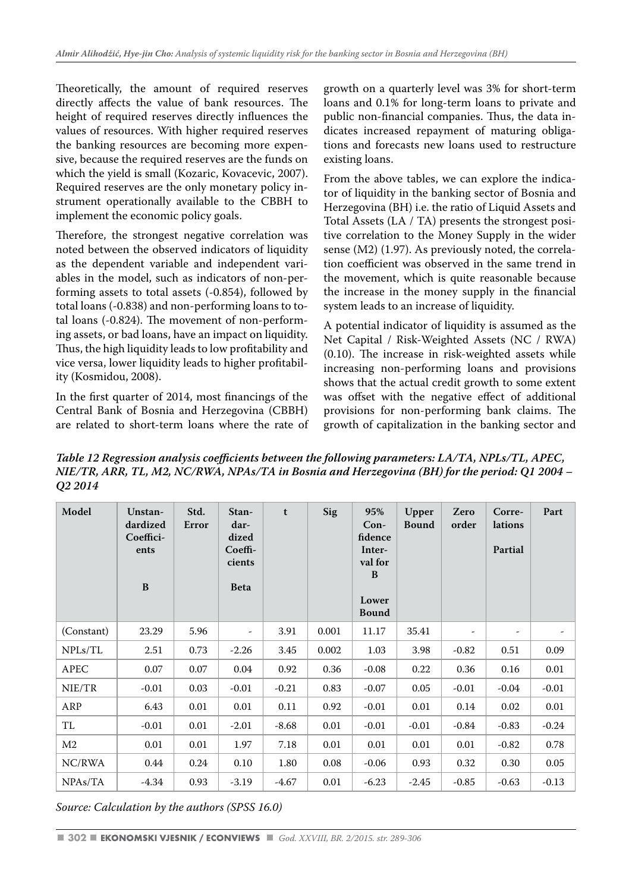Theoretically, the amount of required reserves directly affects the value of bank resources. The height of required reserves directly influences the values of resources. With higher required reserves the banking resources are becoming more expensive, because the required reserves are the funds on which the yield is small (Kozaric, Kovacevic, 2007). Required reserves are the only monetary policy instrument operationally available to the CBBH to implement the economic policy goals.

Therefore, the strongest negative correlation was noted between the observed indicators of liquidity as the dependent variable and independent variables in the model, such as indicators of non-performing assets to total assets (-0.854), followed by total loans (-0.838) and non-performing loans to total loans (-0.824). The movement of non-performing assets, or bad loans, have an impact on liquidity. Thus, the high liquidity leads to low profitability and vice versa, lower liquidity leads to higher profitability (Kosmidou, 2008).

In the first quarter of 2014, most financings of the Central Bank of Bosnia and Herzegovina (CBBH) are related to short-term loans where the rate of growth on a quarterly level was 3% for short-term loans and 0.1% for long-term loans to private and public non-financial companies. Thus, the data indicates increased repayment of maturing obligations and forecasts new loans used to restructure existing loans.

From the above tables, we can explore the indicator of liquidity in the banking sector of Bosnia and Herzegovina (BH) i.e. the ratio of Liquid Assets and Total Assets (LA / TA) presents the strongest positive correlation to the Money Supply in the wider sense (M2) (1.97). As previously noted, the correlation coefficient was observed in the same trend in the movement, which is quite reasonable because the increase in the money supply in the financial system leads to an increase of liquidity.

A potential indicator of liquidity is assumed as the Net Capital / Risk-Weighted Assets (NC / RWA) (0.10). The increase in risk-weighted assets while increasing non-performing loans and provisions shows that the actual credit growth to some extent was offset with the negative effect of additional provisions for non-performing bank claims. The growth of capitalization in the banking sector and

*Table 12 Regression analysis coefficients between the following parameters: LA/TA, NPLs/TL, APEC, NIE/TR, ARR, TL, M2, NC/RWA, NPAs/TA in Bosnia and Herzegovina (BH) for the period: Q1 2004 – Q2 2014*

| Model      | Unstan-<br>dardized<br>Coeffici-<br>ents<br>B | Std.<br>Error | Stan-<br>dar-<br>dized<br>Coeffi-<br>cients<br><b>Beta</b> | $\mathbf t$ | Sig   | 95%<br>$Con-$<br>fidence<br>Inter-<br>val for<br>B<br>Lower<br><b>Bound</b> | Upper<br><b>Bound</b> | Zero<br>order | Corre-<br>lations<br>Partial | Part    |
|------------|-----------------------------------------------|---------------|------------------------------------------------------------|-------------|-------|-----------------------------------------------------------------------------|-----------------------|---------------|------------------------------|---------|
| (Constant) | 23.29                                         | 5.96          | Ξ.                                                         | 3.91        | 0.001 | 11.17                                                                       | 35.41                 | -             | $\overline{\phantom{a}}$     |         |
| NPLs/TL    | 2.51                                          | 0.73          | $-2.26$                                                    | 3.45        | 0.002 | 1.03                                                                        | 3.98                  | $-0.82$       | 0.51                         | 0.09    |
| APEC       | 0.07                                          | 0.07          | 0.04                                                       | 0.92        | 0.36  | $-0.08$                                                                     | 0.22                  | 0.36          | 0.16                         | 0.01    |
| NIE/TR     | $-0.01$                                       | 0.03          | $-0.01$                                                    | $-0.21$     | 0.83  | $-0.07$                                                                     | 0.05                  | $-0.01$       | $-0.04$                      | $-0.01$ |
| ARP        | 6.43                                          | 0.01          | 0.01                                                       | 0.11        | 0.92  | $-0.01$                                                                     | 0.01                  | 0.14          | 0.02                         | 0.01    |
| TL         | $-0.01$                                       | 0.01          | $-2.01$                                                    | $-8.68$     | 0.01  | $-0.01$                                                                     | $-0.01$               | $-0.84$       | $-0.83$                      | $-0.24$ |
| M2         | 0.01                                          | 0.01          | 1.97                                                       | 7.18        | 0.01  | 0.01                                                                        | 0.01                  | 0.01          | $-0.82$                      | 0.78    |
| NC/RWA     | 0.44                                          | 0.24          | 0.10                                                       | 1.80        | 0.08  | $-0.06$                                                                     | 0.93                  | 0.32          | 0.30                         | 0.05    |
| NPAs/TA    | $-4.34$                                       | 0.93          | $-3.19$                                                    | -4.67       | 0.01  | $-6.23$                                                                     | $-2.45$               | $-0.85$       | $-0.63$                      | $-0.13$ |

*Source: Calculation by the authors (SPSS 16.0)*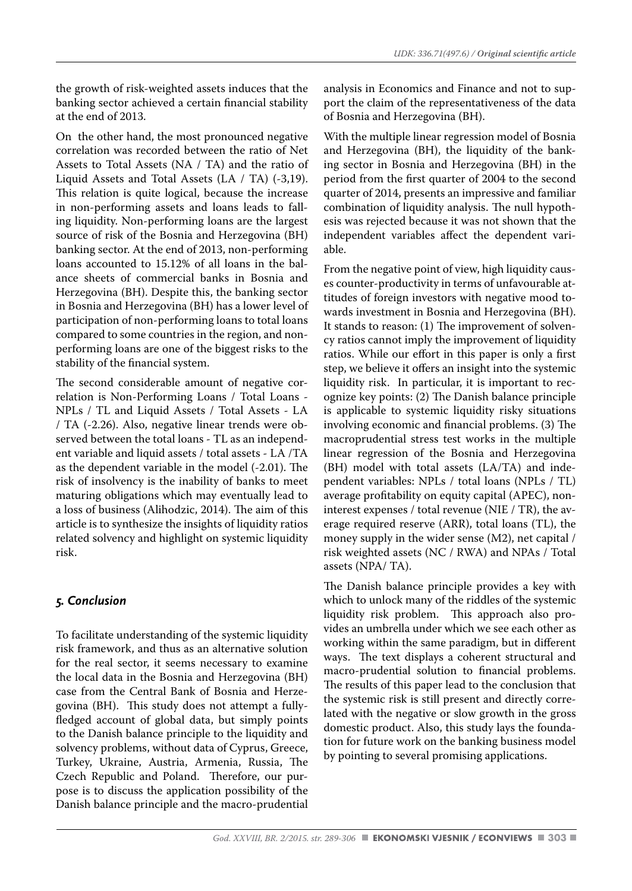the growth of risk-weighted assets induces that the banking sector achieved a certain financial stability at the end of 2013.

On the other hand, the most pronounced negative correlation was recorded between the ratio of Net Assets to Total Assets (NA / TA) and the ratio of Liquid Assets and Total Assets (LA / TA) (-3,19). This relation is quite logical, because the increase in non-performing assets and loans leads to falling liquidity. Non-performing loans are the largest source of risk of the Bosnia and Herzegovina (BH) banking sector. At the end of 2013, non-performing loans accounted to 15.12% of all loans in the balance sheets of commercial banks in Bosnia and Herzegovina (BH). Despite this, the banking sector in Bosnia and Herzegovina (BH) has a lower level of participation of non-performing loans to total loans compared to some countries in the region, and nonperforming loans are one of the biggest risks to the stability of the financial system.

The second considerable amount of negative correlation is Non-Performing Loans / Total Loans - NPLs / TL and Liquid Assets / Total Assets - LA / TA (-2.26). Also, negative linear trends were observed between the total loans - TL as an independent variable and liquid assets / total assets - LA /TA as the dependent variable in the model (-2.01). The risk of insolvency is the inability of banks to meet maturing obligations which may eventually lead to a loss of business (Alihodzic, 2014). The aim of this article is to synthesize the insights of liquidity ratios related solvency and highlight on systemic liquidity risk.

# *5. Conclusion*

To facilitate understanding of the systemic liquidity risk framework, and thus as an alternative solution for the real sector, it seems necessary to examine the local data in the Bosnia and Herzegovina (BH) case from the Central Bank of Bosnia and Herzegovina (BH). This study does not attempt a fullyfledged account of global data, but simply points to the Danish balance principle to the liquidity and solvency problems, without data of Cyprus, Greece, Turkey, Ukraine, Austria, Armenia, Russia, The Czech Republic and Poland. Therefore, our purpose is to discuss the application possibility of the Danish balance principle and the macro-prudential analysis in Economics and Finance and not to support the claim of the representativeness of the data of Bosnia and Herzegovina (BH).

With the multiple linear regression model of Bosnia and Herzegovina (BH), the liquidity of the banking sector in Bosnia and Herzegovina (BH) in the period from the first quarter of 2004 to the second quarter of 2014, presents an impressive and familiar combination of liquidity analysis. The null hypothesis was rejected because it was not shown that the independent variables affect the dependent variable.

From the negative point of view, high liquidity causes counter-productivity in terms of unfavourable attitudes of foreign investors with negative mood towards investment in Bosnia and Herzegovina (BH). It stands to reason: (1) The improvement of solvency ratios cannot imply the improvement of liquidity ratios. While our effort in this paper is only a first step, we believe it offers an insight into the systemic liquidity risk. In particular, it is important to recognize key points: (2) The Danish balance principle is applicable to systemic liquidity risky situations involving economic and financial problems. (3) The macroprudential stress test works in the multiple linear regression of the Bosnia and Herzegovina (BH) model with total assets (LA/TA) and independent variables: NPLs / total loans (NPLs / TL) average profitability on equity capital (APEC), noninterest expenses / total revenue (NIE / TR), the average required reserve (ARR), total loans (TL), the money supply in the wider sense (M2), net capital / risk weighted assets (NC / RWA) and NPAs / Total assets (NPA/ TA).

The Danish balance principle provides a key with which to unlock many of the riddles of the systemic liquidity risk problem. This approach also provides an umbrella under which we see each other as working within the same paradigm, but in different ways. The text displays a coherent structural and macro-prudential solution to financial problems. The results of this paper lead to the conclusion that the systemic risk is still present and directly correlated with the negative or slow growth in the gross domestic product. Also, this study lays the foundation for future work on the banking business model by pointing to several promising applications.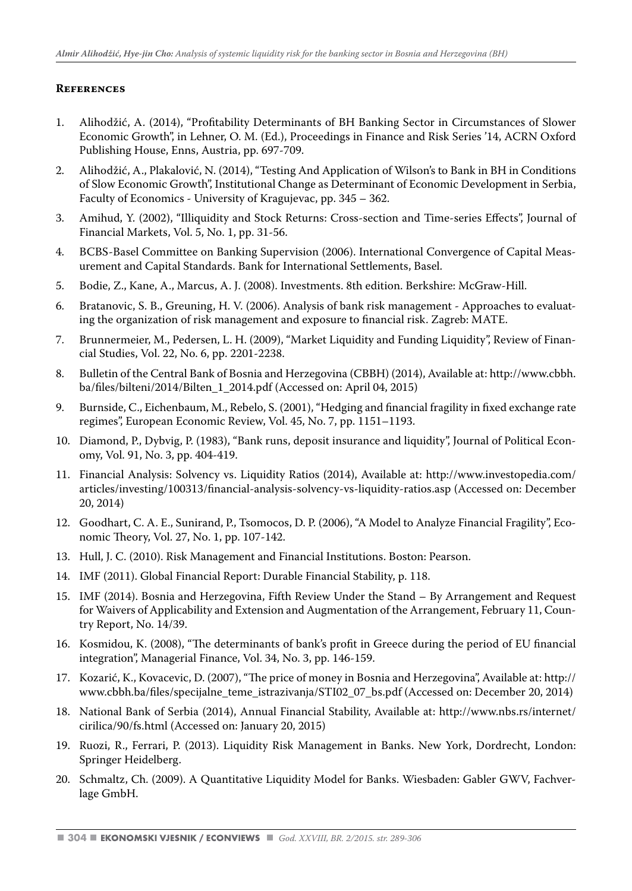#### **References**

- 1. Alihodžić, A. (2014), "Profitability Determinants of BH Banking Sector in Circumstances of Slower Economic Growth", in Lehner, O. M. (Ed.), Proceedings in Finance and Risk Series '14, ACRN Oxford Publishing House, Enns, Austria, pp. 697-709.
- 2. Alihodžić, A., Plakalović, N. (2014), "Testing And Application of Wilson's to Bank in BH in Conditions of Slow Economic Growth", Institutional Change as Determinant of Economic Development in Serbia, Faculty of Economics - University of Kragujevac, pp. 345 – 362.
- 3. Amihud, Y. (2002), "Illiquidity and Stock Returns: Cross-section and Time-series Effects", Journal of Financial Markets, Vol. 5, No. 1, pp. 31-56.
- 4. BCBS-Basel Committee on Banking Supervision (2006). International Convergence of Capital Measurement and Capital Standards. Bank for International Settlements, Basel.
- 5. Bodie, Z., Kane, A., Marcus, A. J. (2008). Investments. 8th edition. Berkshire: McGraw-Hill.
- 6. Bratanovic, S. B., Greuning, H. V. (2006). Analysis of bank risk management Approaches to evaluating the organization of risk management and exposure to financial risk. Zagreb: MATE.
- 7. Brunnermeier, M., Pedersen, L. H. (2009), "Market Liquidity and Funding Liquidity", Review of Financial Studies, Vol. 22, No. 6, pp. 2201-2238.
- 8. Bulletin of the Central Bank of Bosnia and Herzegovina (CBBH) (2014), Available at: http://www.cbbh. ba/files/bilteni/2014/Bilten\_1\_2014.pdf (Accessed on: April 04, 2015)
- 9. Burnside, C., Eichenbaum, M., Rebelo, S. (2001), "Hedging and financial fragility in fixed exchange rate regimes", European Economic Review, Vol. 45, No. 7, pp. 1151–1193.
- 10. Diamond, P., Dybvig, P. (1983), "Bank runs, deposit insurance and liquidity", Journal of Political Economy, Vol. 91, No. 3, pp. 404-419.
- 11. Financial Analysis: Solvency vs. Liquidity Ratios (2014), Available at: http://www.investopedia.com/ articles/investing/100313/financial-analysis-solvency-vs-liquidity-ratios.asp (Accessed on: December 20, 2014)
- 12. Goodhart, C. A. E., Sunirand, P., Tsomocos, D. P. (2006), "A Model to Analyze Financial Fragility", Economic Theory, Vol. 27, No. 1, pp. 107-142.
- 13. Hull, J. C. (2010). Risk Management and Financial Institutions. Boston: Pearson.
- 14. IMF (2011). Global Financial Report: Durable Financial Stability, p. 118.
- 15. IMF (2014). Bosnia and Herzegovina, Fifth Review Under the Stand By Arrangement and Request for Waivers of Applicability and Extension and Augmentation of the Arrangement, February 11, Country Report, No. 14/39.
- 16. Kosmidou, K. (2008), "The determinants of bank's profit in Greece during the period of EU financial integration", Managerial Finance, Vol. 34, No. 3, pp. 146-159.
- 17. Kozarić, K., Kovacevic, D. (2007), "The price of money in Bosnia and Herzegovina", Available at: http:// www.cbbh.ba/files/specijalne\_teme\_istrazivanja/STI02\_07\_bs.pdf (Accessed on: December 20, 2014)
- 18. National Bank of Serbia (2014), Annual Financial Stability, Available at: http://www.nbs.rs/internet/ cirilica/90/fs.html (Accessed on: January 20, 2015)
- 19. Ruozi, R., Ferrari, P. (2013). Liquidity Risk Management in Banks. New York, Dordrecht, London: Springer Heidelberg.
- 20. Schmaltz, Ch. (2009). A Quantitative Liquidity Model for Banks. Wiesbaden: Gabler GWV, Fachverlage GmbH.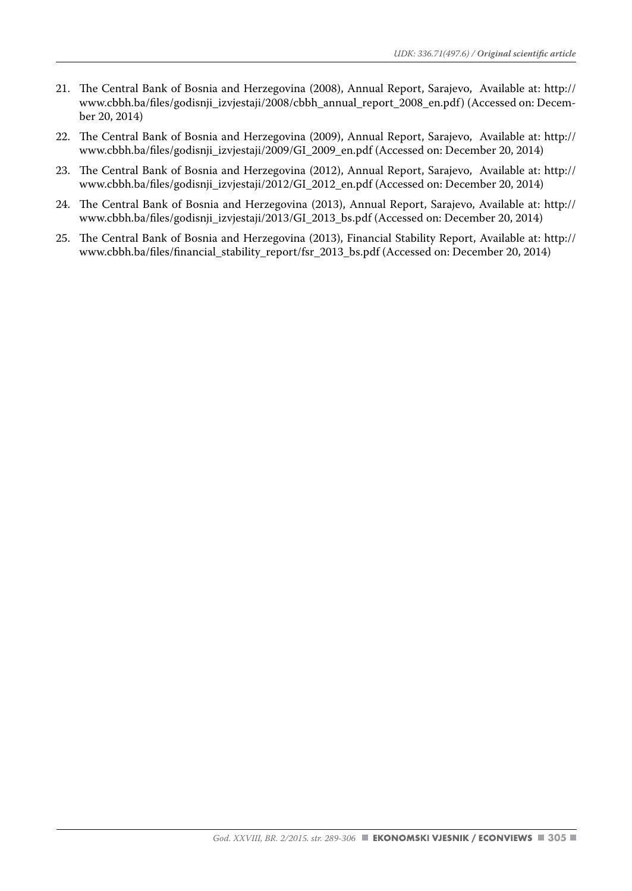- 21. The Central Bank of Bosnia and Herzegovina (2008), Annual Report, Sarajevo, Available at: http:// www.cbbh.ba/files/godisnii\_izviestaji/2008/cbbh\_annual\_report\_2008\_en.pdf) (Accessed on: December 20, 2014)
- 22. The Central Bank of Bosnia and Herzegovina (2009), Annual Report, Sarajevo, Available at: http:// www.cbbh.ba/files/godisnji\_izvjestaji/2009/GI\_2009\_en.pdf (Accessed on: December 20, 2014)
- 23. The Central Bank of Bosnia and Herzegovina (2012), Annual Report, Sarajevo, Available at: http:// www.cbbh.ba/files/godisnji\_izvjestaji/2012/GI\_2012\_en.pdf (Accessed on: December 20, 2014)
- 24. The Central Bank of Bosnia and Herzegovina (2013), Annual Report, Sarajevo, Available at: http:// www.cbbh.ba/files/godisnji\_izvjestaji/2013/GI\_2013\_bs.pdf (Accessed on: December 20, 2014)
- 25. The Central Bank of Bosnia and Herzegovina (2013), Financial Stability Report, Available at: http:// www.cbbh.ba/files/financial\_stability\_report/fsr\_2013\_bs.pdf (Accessed on: December 20, 2014)